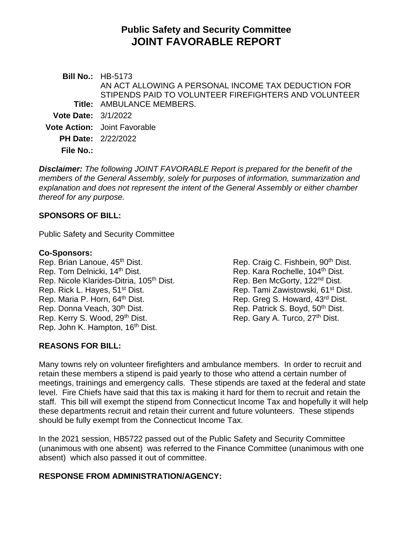# **Public Safety and Security Committee JOINT FAVORABLE REPORT**

**Bill No.:** HB-5173 **Title:** AMBULANCE MEMBERS. AN ACT ALLOWING A PERSONAL INCOME TAX DEDUCTION FOR STIPENDS PAID TO VOLUNTEER FIREFIGHTERS AND VOLUNTEER **Vote Date:** 3/1/2022 **Vote Action:** Joint Favorable **PH Date:** 2/22/2022 **File No.:**

*Disclaimer: The following JOINT FAVORABLE Report is prepared for the benefit of the members of the General Assembly, solely for purposes of information, summarization and explanation and does not represent the intent of the General Assembly or either chamber thereof for any purpose.*

## **SPONSORS OF BILL:**

Public Safety and Security Committee

#### **Co-Sponsors:**

Rep. Brian Lanoue, 45<sup>th</sup> Dist. Rep. Craig C. Fishbein, 90<sup>th</sup> Dist. Rep. Tom Delnicki, 14<sup>th</sup> Dist. Rep. Kara Rochelle, 104<sup>th</sup> Dist. Rep. Nicole Klarides-Ditria, 105<sup>th</sup> Dist. Rep. Ben McGorty, 122<sup>nd</sup> Dist. Rep. Rick L. Hayes, 51<sup>st</sup> Dist. Rep. Tami Zawistowski, 61<sup>st</sup> Dist. Rep. Maria P. Horn, 64<sup>th</sup> Dist. Rep. Greg S. Howard, 43<sup>rd</sup> Dist. Rep. Donna Veach, 30<sup>th</sup> Dist. Rep. Patrick S. Boyd, 50<sup>th</sup> Dist. Rep. Kerry S. Wood, 29<sup>th</sup> Dist. Rep. Gary A. Turco, 27<sup>th</sup> Dist. Rep. John K. Hampton, 16<sup>th</sup> Dist.

**REASONS FOR BILL:**

Many towns rely on volunteer firefighters and ambulance members. In order to recruit and retain these members a stipend is paid yearly to those who attend a certain number of meetings, trainings and emergency calls. These stipends are taxed at the federal and state level. Fire Chiefs have said that this tax is making it hard for them to recruit and retain the staff. This bill will exempt the stipend from Connecticut Income Tax and hopefully it will help these departments recruit and retain their current and future volunteers. These stipends should be fully exempt from the Connecticut Income Tax.

In the 2021 session, HB5722 passed out of the Public Safety and Security Committee (unanimous with one absent) was referred to the Finance Committee (unanimous with one absent) which also passed it out of committee.

### **RESPONSE FROM ADMINISTRATION/AGENCY:**